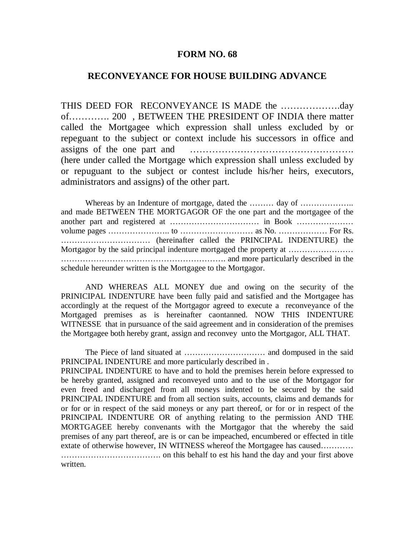## **FORM NO. 68**

## **RECONVEYANCE FOR HOUSE BUILDING ADVANCE**

THIS DEED FOR RECONVEYANCE IS MADE the ……………….day of…………. 200 , BETWEEN THE PRESIDENT OF INDIA there matter called the Mortgagee which expression shall unless excluded by or repeguant to the subject or context include his successors in office and assigns of the one part and ……………………………………………. (here under called the Mortgage which expression shall unless excluded by or repuguant to the subject or contest include his/her heirs, executors, administrators and assigns) of the other part.

Whereas by an Indenture of mortgage, dated the ……… day of ………………… and made BETWEEN THE MORTGAGOR OF the one part and the mortgagee of the another part and registered at …………………………… in Book ………………… volume pages ………………….. to ……………………… as No. ……………… For Rs. …………………………… (hereinafter called the PRINCIPAL INDENTURE) the Mortgagor by the said principal indenture mortgaged the property at …………………… ……………………………………………………. and more particularly described in the schedule hereunder written is the Mortgagee to the Mortgagor.

AND WHEREAS ALL MONEY due and owing on the security of the PRINICIPAL INDENTURE have been fully paid and satisfied and the Mortgagee has accordingly at the request of the Mortgagor agreed to execute a reconveyance of the Mortgaged premises as is hereinafter caontanned. NOW THIS INDENTURE WITNESSE that in pursuance of the said agreement and in consideration of the premises the Mortgagee both hereby grant, assign and reconvey unto the Mortgagor, ALL THAT.

The Piece of land situated at ………………………… and dompused in the said PRINCIPAL INDENTURE and more particularly described in .

PRINCIPAL INDENTURE to have and to hold the premises herein before expressed to be hereby granted, assigned and reconveyed unto and to the use of the Mortgagor for even freed and discharged from all moneys indented to be secured by the said PRINCIPAL INDENTURE and from all section suits, accounts, claims and demands for or for or in respect of the said moneys or any part thereof, or for or in respect of the PRINCIPAL INDENTURE OR of anything relating to the permission AND THE MORTGAGEE hereby convenants with the Mortgagor that the whereby the said premises of any part thereof, are is or can be impeached, encumbered or effected in title extate of otherwise however, IN WITNESS whereof the Mortgagee has caused………… ………………………………. on this behalf to est his hand the day and your first above written.